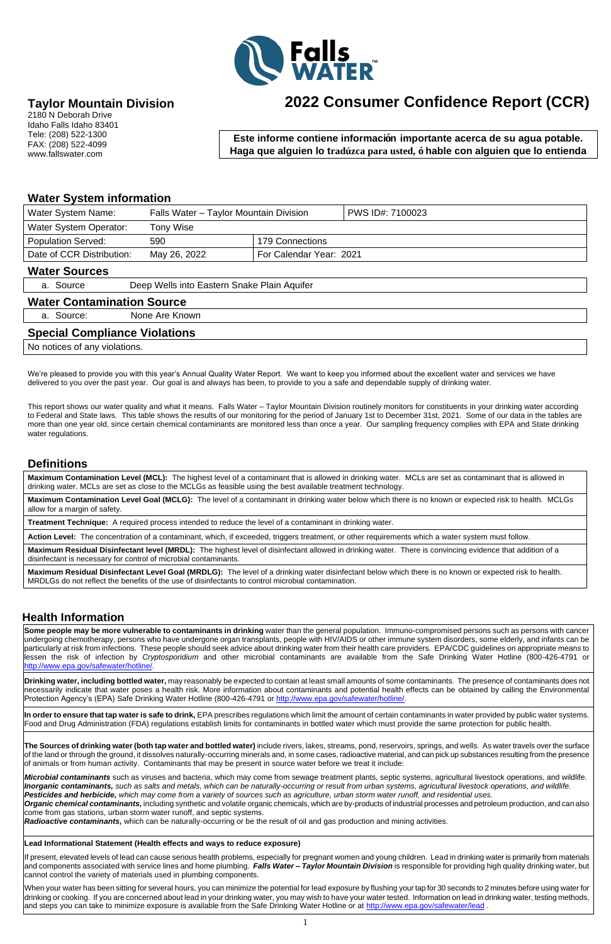1



## **Taylor Mountain Division**

2180 N Deborah Drive Idaho Falls Idaho 83401 Tele: (208) 522-1300 FAX: (208) 522-4099 www.fallswater.com

### **Water System information**

| <b>Water System Name:</b>            | Falls Water - Taylor Mountain Division      |                 | PWS ID#: 7100023 |  |  |  |  |
|--------------------------------------|---------------------------------------------|-----------------|------------------|--|--|--|--|
| <b>Water System Operator:</b>        | Tony Wise                                   |                 |                  |  |  |  |  |
| <b>Population Served:</b>            | 590                                         | 179 Connections |                  |  |  |  |  |
| Date of CCR Distribution:            | For Calendar Year: 2021<br>May 26, 2022     |                 |                  |  |  |  |  |
| <b>Water Sources</b>                 |                                             |                 |                  |  |  |  |  |
| a. Source                            | Deep Wells into Eastern Snake Plain Aquifer |                 |                  |  |  |  |  |
| <b>Water Contamination Source</b>    |                                             |                 |                  |  |  |  |  |
| a. Source:                           | None Are Known                              |                 |                  |  |  |  |  |
| <b>Special Compliance Violations</b> |                                             |                 |                  |  |  |  |  |

No notices of any violations.

We're pleased to provide you with this year's Annual Quality Water Report. We want to keep you informed about the excellent water and services we have delivered to you over the past year. Our goal is and always has been, to provide to you a safe and dependable supply of drinking water.

This report shows our water quality and what it means. Falls Water – Taylor Mountain Division routinely monitors for constituents in your drinking water according to Federal and State laws. This table shows the results of our monitoring for the period of January 1st to December 31st, 2021. Some of our data in the tables are more than one year old, since certain chemical contaminants are monitored less than once a year. Our sampling frequency complies with EPA and State drinking water regulations.

#### **Definitions**

**Maximum Contamination Level (MCL):** The highest level of a contaminant that is allowed in drinking water. MCLs are set as contaminant that is allowed in drinking water. MCLs are set as close to the MCLGs as feasible using the best available treatment technology.

**Maximum Contamination Level Goal (MCLG):** The level of a contaminant in drinking water below which there is no known or expected risk to health. MCLGs allow for a margin of safety.

**Treatment Technique:** A required process intended to reduce the level of a contaminant in drinking water.

**Action Level:** The concentration of a contaminant, which, if exceeded, triggers treatment, or other requirements which a water system must follow.

**Maximum Residual Disinfectant level (MRDL):** The highest level of disinfectant allowed in drinking water. There is convincing evidence that addition of a disinfectant is necessary for control of microbial contaminants.

**Maximum Residual Disinfectant Level Goal (MRDLG):** The level of a drinking water disinfectant below which there is no known or expected risk to health. MRDLGs do not reflect the benefits of the use of disinfectants to control microbial contamination.

#### **Health Information**

**Some people may be more vulnerable to contaminants in drinking** water than the general population. Immuno-compromised persons such as persons with cancer undergoing chemotherapy, persons who have undergone organ transplants, people with HIV/AIDS or other immune system disorders, some elderly, and infants can be particularly at risk from infections. These people should seek advice about drinking water from their health care providers. EPA/CDC guidelines on appropriate means to lessen the risk of infection by *Cryptosporidium* and other microbial contaminants are available from the Safe Drinking Water Hotline (800-426-4791 or [http://www.epa.gov/safewater/hotline/.](http://www.epa.gov/safewater/hotline/)

**Drinking water, including bottled water,** may reasonably be expected to contain at least small amounts of some contaminants. The presence of contaminants does not necessarily indicate that water poses a health risk. More information about contaminants and potential health effects can be obtained by calling the Environmental

**In order to ensure that tap water is safe to drink,** EPA prescribes regulations which limit the amount of certain contaminants in water provided by public water systems. Food and Drug Administration (FDA) regulations establish limits for contaminants in bottled water which must provide the same protection for public health.

**The Sources of drinking water (both tap water and bottled water)** include rivers, lakes, streams, pond, reservoirs, springs, and wells. As water travels over the surface of the land or through the ground, it dissolves naturally-occurring minerals and, in some cases, radioactive material, and can pick up substances resulting from the presence of animals or from human activity. Contaminants that may be present in source water before we treat it include:

*Microbial contaminants* such as viruses and bacteria, which may come from sewage treatment plants, septic systems, agricultural livestock operations, and wildlife. *Inorganic contaminants, such as salts and metals, which can be naturally-occurring or result from urban systems, agricultural livestock operations, and wildlife. Pesticides and herbicide, which may come from a variety of sources such as agriculture, urban storm water runoff, and residential uses. Organic chemical contaminants,* including synthetic and volatile organic chemicals, which are by-products of industrial processes and petroleum production, and can also come from gas stations, urban storm water runoff, and septic systems.

*Radioactive contaminants,* which can be naturally-occurring or be the result of oil and gas production and mining activities.

#### **Lead Informational Statement (Health effects and ways to reduce exposure)**

If present, elevated levels of lead can cause serious health problems, especially for pregnant women and young children. Lead in drinking water is primarily from materials and components associated with service lines and home plumbing. *Falls Water – Taylor Mountain Division* is responsible for providing high quality drinking water, but cannot control the variety of materials used in plumbing components.

When your water has been sitting for several hours, you can minimize the potential for lead exposure by flushing your tap for 30 seconds to 2 minutes before using water for drinking or cooking. If you are concerned about lead in your drinking water, you may wish to have your water tested. Information on lead in drinking water, testing methods, and steps you can take to minimize exposure is available from the Safe Drinking Water Hotline or at<http://www.epa.gov/safewater/lead>.

# **2022 Consumer Confidence Report (CCR)**

**Este informe contiene información importante acerca de su agua potable. Haga que alguien lo tradúzca para usted, ó hable con alguien que lo entienda** 

**bien.**